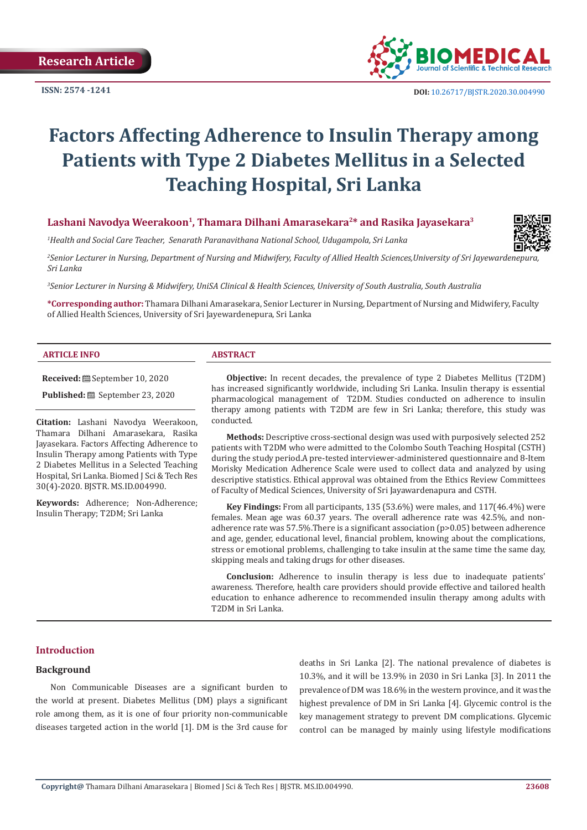**ISSN: 2574 -1241**



# **Factors Affecting Adherence to Insulin Therapy among Patients with Type 2 Diabetes Mellitus in a Selected Teaching Hospital, Sri Lanka**

# **Lashani Navodya Weerakoon1, Thamara Dilhani Amarasekara2\* and Rasika Jayasekara3**

*1 Health and Social Care Teacher, Senarath Paranavithana National School, Udugampola, Sri Lanka*

*2 Senior Lecturer in Nursing, Department of Nursing and Midwifery, Faculty of Allied Health Sciences,University of Sri Jayewardenepura, Sri Lanka*

*3 Senior Lecturer in Nursing & Midwifery, UniSA Clinical & Health Sciences, University of South Australia, South Australia*

**\*Corresponding author:** Thamara Dilhani Amarasekara, Senior Lecturer in Nursing, Department of Nursing and Midwifery, Faculty of Allied Health Sciences, University of Sri Jayewardenepura, Sri Lanka

#### **ARTICLE INFO ABSTRACT**

**Received:** September 10, 2020

**Published:** <sup>8</sup> September 23, 2020

**Citation:** Lashani Navodya Weerakoon, Thamara Dilhani Amarasekara, Rasika Jayasekara. Factors Affecting Adherence to Insulin Therapy among Patients with Type 2 Diabetes Mellitus in a Selected Teaching Hospital, Sri Lanka. Biomed J Sci & Tech Res 30(4)-2020. BJSTR. MS.ID.004990.

**Keywords:** Adherence; Non-Adherence; Insulin Therapy; T2DM; Sri Lanka

**Objective:** In recent decades, the prevalence of type 2 Diabetes Mellitus (T2DM) has increased significantly worldwide, including Sri Lanka. Insulin therapy is essential pharmacological management of T2DM. Studies conducted on adherence to insulin therapy among patients with T2DM are few in Sri Lanka; therefore, this study was conducted.

**Methods:** Descriptive cross-sectional design was used with purposively selected 252 patients with T2DM who were admitted to the Colombo South Teaching Hospital (CSTH) during the study period.A pre-tested interviewer-administered questionnaire and 8-Item Morisky Medication Adherence Scale were used to collect data and analyzed by using descriptive statistics. Ethical approval was obtained from the Ethics Review Committees of Faculty of Medical Sciences, University of Sri Jayawardenapura and CSTH.

**Key Findings:** From all participants, 135 (53.6%) were males, and 117(46.4%) were females. Mean age was 60.37 years. The overall adherence rate was 42.5%, and nonadherence rate was  $57.5\%$ . There is a significant association ( $p>0.05$ ) between adherence and age, gender, educational level, financial problem, knowing about the complications, stress or emotional problems, challenging to take insulin at the same time the same day, skipping meals and taking drugs for other diseases.

**Conclusion:** Adherence to insulin therapy is less due to inadequate patients' awareness. Therefore, health care providers should provide effective and tailored health education to enhance adherence to recommended insulin therapy among adults with T2DM in Sri Lanka.

## **Introduction**

## **Background**

Non Communicable Diseases are a significant burden to the world at present. Diabetes Mellitus (DM) plays a significant role among them, as it is one of four priority non-communicable diseases targeted action in the world [1]. DM is the 3rd cause for deaths in Sri Lanka [2]. The national prevalence of diabetes is 10.3%, and it will be 13.9% in 2030 in Sri Lanka [3]. In 2011 the prevalence of DM was 18.6% in the western province, and it was the highest prevalence of DM in Sri Lanka [4]. Glycemic control is the key management strategy to prevent DM complications. Glycemic control can be managed by mainly using lifestyle modifications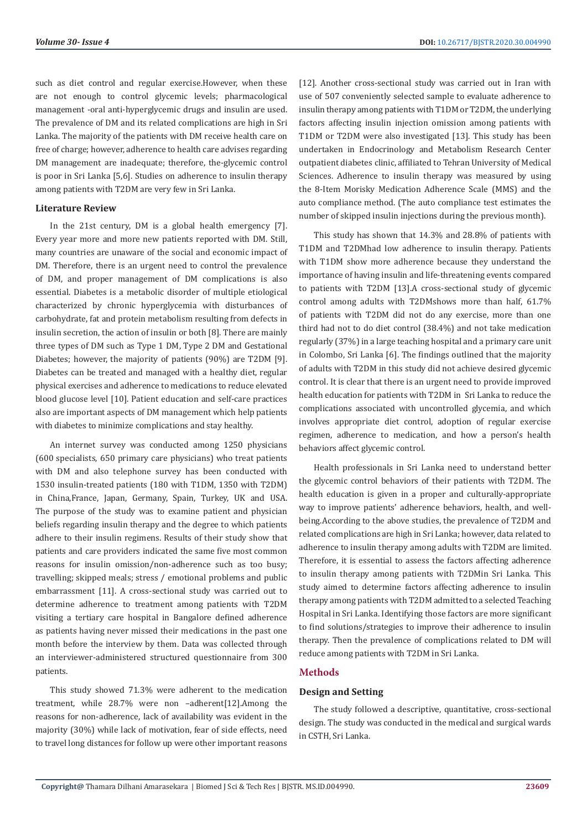such as diet control and regular exercise.However, when these are not enough to control glycemic levels; pharmacological management -oral anti-hyperglycemic drugs and insulin are used. The prevalence of DM and its related complications are high in Sri Lanka. The majority of the patients with DM receive health care on free of charge; however, adherence to health care advises regarding DM management are inadequate; therefore, the-glycemic control is poor in Sri Lanka [5,6]. Studies on adherence to insulin therapy among patients with T2DM are very few in Sri Lanka.

### **Literature Review**

In the 21st century, DM is a global health emergency [7]. Every year more and more new patients reported with DM. Still, many countries are unaware of the social and economic impact of DM. Therefore, there is an urgent need to control the prevalence of DM, and proper management of DM complications is also essential. Diabetes is a metabolic disorder of multiple etiological characterized by chronic hyperglycemia with disturbances of carbohydrate, fat and protein metabolism resulting from defects in insulin secretion, the action of insulin or both [8]. There are mainly three types of DM such as Type 1 DM, Type 2 DM and Gestational Diabetes; however, the majority of patients (90%) are T2DM [9]. Diabetes can be treated and managed with a healthy diet, regular physical exercises and adherence to medications to reduce elevated blood glucose level [10]. Patient education and self-care practices also are important aspects of DM management which help patients with diabetes to minimize complications and stay healthy.

An internet survey was conducted among 1250 physicians (600 specialists, 650 primary care physicians) who treat patients with DM and also telephone survey has been conducted with 1530 insulin-treated patients (180 with T1DM, 1350 with T2DM) in China,France, Japan, Germany, Spain, Turkey, UK and USA. The purpose of the study was to examine patient and physician beliefs regarding insulin therapy and the degree to which patients adhere to their insulin regimens. Results of their study show that patients and care providers indicated the same five most common reasons for insulin omission/non-adherence such as too busy; travelling; skipped meals; stress / emotional problems and public embarrassment [11]. A cross-sectional study was carried out to determine adherence to treatment among patients with T2DM visiting a tertiary care hospital in Bangalore defined adherence as patients having never missed their medications in the past one month before the interview by them. Data was collected through an interviewer-administered structured questionnaire from 300 patients.

This study showed 71.3% were adherent to the medication treatment, while 28.7% were non –adherent[12].Among the reasons for non-adherence, lack of availability was evident in the majority (30%) while lack of motivation, fear of side effects, need to travel long distances for follow up were other important reasons [12]. Another cross-sectional study was carried out in Iran with use of 507 conveniently selected sample to evaluate adherence to insulin therapy among patients with T1DM or T2DM, the underlying factors affecting insulin injection omission among patients with T1DM or T2DM were also investigated [13]. This study has been undertaken in Endocrinology and Metabolism Research Center outpatient diabetes clinic, affiliated to Tehran University of Medical Sciences. Adherence to insulin therapy was measured by using the 8-Item Morisky Medication Adherence Scale (MMS) and the auto compliance method. (The auto compliance test estimates the number of skipped insulin injections during the previous month).

This study has shown that 14.3% and 28.8% of patients with T1DM and T2DMhad low adherence to insulin therapy. Patients with T1DM show more adherence because they understand the importance of having insulin and life-threatening events compared to patients with T2DM [13].A cross-sectional study of glycemic control among adults with T2DMshows more than half, 61.7% of patients with T2DM did not do any exercise, more than one third had not to do diet control (38.4%) and not take medication regularly (37%) in a large teaching hospital and a primary care unit in Colombo, Sri Lanka [6]. The findings outlined that the majority of adults with T2DM in this study did not achieve desired glycemic control. It is clear that there is an urgent need to provide improved health education for patients with T2DM in Sri Lanka to reduce the complications associated with uncontrolled glycemia, and which involves appropriate diet control, adoption of regular exercise regimen, adherence to medication, and how a person's health behaviors affect glycemic control.

Health professionals in Sri Lanka need to understand better the glycemic control behaviors of their patients with T2DM. The health education is given in a proper and culturally-appropriate way to improve patients' adherence behaviors, health, and wellbeing.According to the above studies, the prevalence of T2DM and related complications are high in Sri Lanka; however, data related to adherence to insulin therapy among adults with T2DM are limited. Therefore, it is essential to assess the factors affecting adherence to insulin therapy among patients with T2DMin Sri Lanka. This study aimed to determine factors affecting adherence to insulin therapy among patients with T2DM admitted to a selected Teaching Hospital in Sri Lanka. Identifying those factors are more significant to find solutions/strategies to improve their adherence to insulin therapy. Then the prevalence of complications related to DM will reduce among patients with T2DM in Sri Lanka.

## **Methods**

#### **Design and Setting**

The study followed a descriptive, quantitative, cross-sectional design. The study was conducted in the medical and surgical wards in CSTH, Sri Lanka.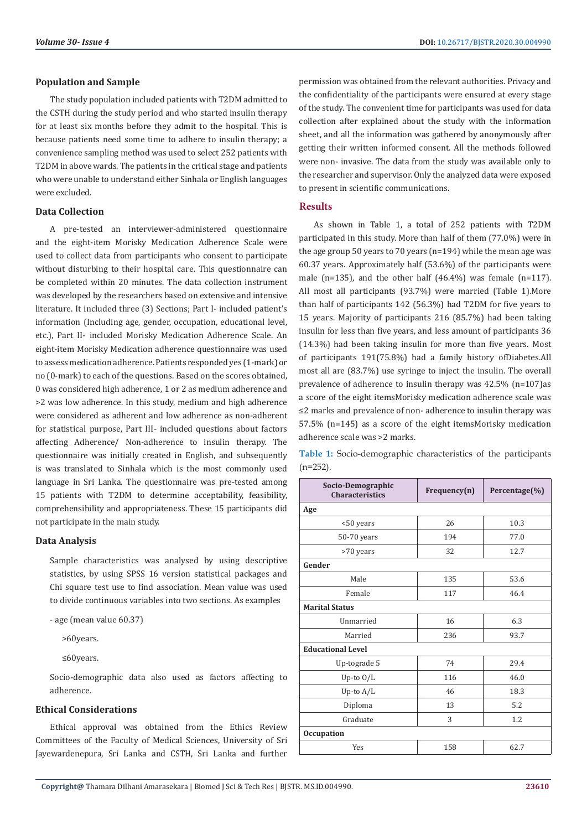## **Population and Sample**

The study population included patients with T2DM admitted to the CSTH during the study period and who started insulin therapy for at least six months before they admit to the hospital. This is because patients need some time to adhere to insulin therapy; a convenience sampling method was used to select 252 patients with T2DM in above wards. The patients in the critical stage and patients who were unable to understand either Sinhala or English languages were excluded.

## **Data Collection**

A pre-tested an interviewer-administered questionnaire and the eight-item Morisky Medication Adherence Scale were used to collect data from participants who consent to participate without disturbing to their hospital care. This questionnaire can be completed within 20 minutes. The data collection instrument was developed by the researchers based on extensive and intensive literature. It included three (3) Sections; Part I- included patient's information (Including age, gender, occupation, educational level, etc.), Part II- included Morisky Medication Adherence Scale. An eight-item Morisky Medication adherence questionnaire was used to assess medication adherence. Patients responded yes (1-mark) or no (0-mark) to each of the questions. Based on the scores obtained, 0 was considered high adherence, 1 or 2 as medium adherence and >2 was low adherence. In this study, medium and high adherence were considered as adherent and low adherence as non-adherent for statistical purpose, Part III- included questions about factors affecting Adherence/ Non-adherence to insulin therapy. The questionnaire was initially created in English, and subsequently is was translated to Sinhala which is the most commonly used language in Sri Lanka. The questionnaire was pre-tested among 15 patients with T2DM to determine acceptability, feasibility, comprehensibility and appropriateness. These 15 participants did not participate in the main study.

#### **Data Analysis**

Sample characteristics was analysed by using descriptive statistics, by using SPSS 16 version statistical packages and Chi square test use to find association. Mean value was used to divide continuous variables into two sections. As examples

- age (mean value 60.37)

>60years.

≤60years.

Socio-demographic data also used as factors affecting to adherence.

## **Ethical Considerations**

Ethical approval was obtained from the Ethics Review Committees of the Faculty of Medical Sciences, University of Sri Jayewardenepura, Sri Lanka and CSTH, Sri Lanka and further permission was obtained from the relevant authorities. Privacy and the confidentiality of the participants were ensured at every stage of the study. The convenient time for participants was used for data collection after explained about the study with the information sheet, and all the information was gathered by anonymously after getting their written informed consent. All the methods followed were non- invasive. The data from the study was available only to the researcher and supervisor. Only the analyzed data were exposed to present in scientific communications.

## **Results**

As shown in Table 1, a total of 252 patients with T2DM participated in this study. More than half of them (77.0%) were in the age group 50 years to 70 years (n=194) while the mean age was 60.37 years. Approximately half (53.6%) of the participants were male (n=135), and the other half (46.4%) was female (n=117). All most all participants (93.7%) were married (Table 1).More than half of participants 142 (56.3%) had T2DM for five years to 15 years. Majority of participants 216 (85.7%) had been taking insulin for less than five years, and less amount of participants 36 (14.3%) had been taking insulin for more than five years. Most of participants 191(75.8%) had a family history ofDiabetes.All most all are (83.7%) use syringe to inject the insulin. The overall prevalence of adherence to insulin therapy was 42.5% (n=107)as a score of the eight itemsMorisky medication adherence scale was ≤2 marks and prevalence of non- adherence to insulin therapy was 57.5% (n=145) as a score of the eight itemsMorisky medication adherence scale was >2 marks.

**Table 1:** Socio-demographic characteristics of the participants  $(n=252)$ .

| Socio-Demographic<br><b>Characteristics</b> | Frequency(n) | Percentage(%) |  |  |  |  |  |
|---------------------------------------------|--------------|---------------|--|--|--|--|--|
| Age                                         |              |               |  |  |  |  |  |
| <50 years                                   | 26           | 10.3          |  |  |  |  |  |
| 50-70 years                                 | 194          | 77.0          |  |  |  |  |  |
| >70 years                                   | 32           | 12.7          |  |  |  |  |  |
| Gender                                      |              |               |  |  |  |  |  |
| Male                                        | 135          | 53.6          |  |  |  |  |  |
| Female                                      | 117          | 46.4          |  |  |  |  |  |
| <b>Marital Status</b>                       |              |               |  |  |  |  |  |
| Unmarried                                   | 16           | 6.3           |  |  |  |  |  |
| Married                                     | 236          | 93.7          |  |  |  |  |  |
| <b>Educational Level</b>                    |              |               |  |  |  |  |  |
| Up-tograde 5                                | 74           | 29.4          |  |  |  |  |  |
| Up-to $O/L$                                 | 116          | 46.0          |  |  |  |  |  |
| Up-to $A/L$                                 | 46           | 18.3          |  |  |  |  |  |
| Diploma                                     | 13           | 5.2           |  |  |  |  |  |
| Graduate                                    | 3            | 1.2           |  |  |  |  |  |
| <b>Occupation</b>                           |              |               |  |  |  |  |  |
| Yes                                         | 158          | 62.7          |  |  |  |  |  |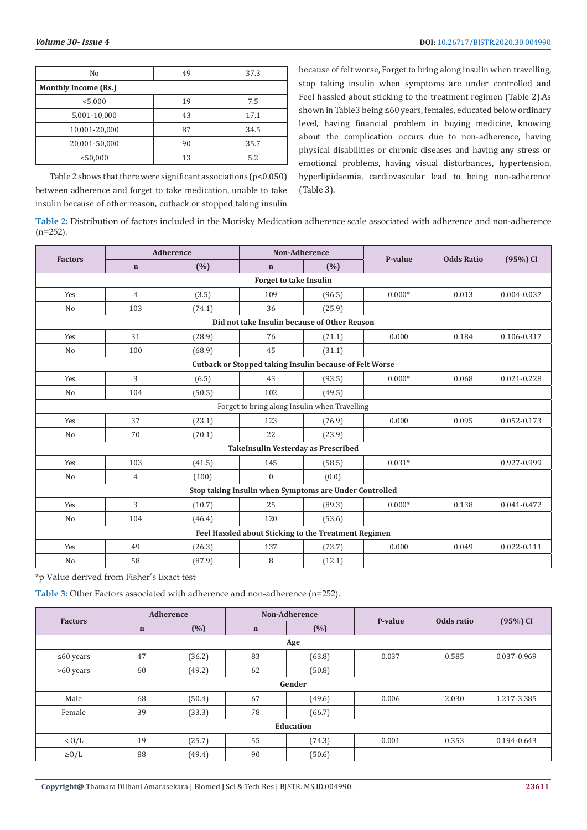| No                   | 49 | 37.3 |  |  |  |  |  |
|----------------------|----|------|--|--|--|--|--|
| Monthly Income (Rs.) |    |      |  |  |  |  |  |
| < 5,000              | 19 | 7.5  |  |  |  |  |  |
| 5,001-10,000         | 43 | 17.1 |  |  |  |  |  |
| 10,001-20,000        | 87 | 34.5 |  |  |  |  |  |
| 20,001-50,000        | 90 | 35.7 |  |  |  |  |  |
| < 50,000             | 13 | 5.2  |  |  |  |  |  |

Table 2 shows that there were significant associations  $(p<0.050)$ between adherence and forget to take medication, unable to take insulin because of other reason, cutback or stopped taking insulin

because of felt worse, Forget to bring along insulin when travelling, stop taking insulin when symptoms are under controlled and Feel hassled about sticking to the treatment regimen (Table 2).As shown in Table3 being ≤60 years, females, educated below ordinary level, having financial problem in buying medicine, knowing about the complication occurs due to non-adherence, having physical disabilities or chronic diseases and having any stress or emotional problems, having visual disturbances, hypertension, hyperlipidaemia, cardiovascular lead to being non-adherence (Table 3).

**Table 2:** Distribution of factors included in the Morisky Medication adherence scale associated with adherence and non-adherence  $(n=252)$ .

|                                                        | <b>Adherence</b>                             |        | <b>Non-Adherence</b>                                           |        |          |                   |                 |  |  |
|--------------------------------------------------------|----------------------------------------------|--------|----------------------------------------------------------------|--------|----------|-------------------|-----------------|--|--|
| <b>Factors</b>                                         | $\mathbf n$                                  | (%)    | $\mathbf n$                                                    | (%)    | P-value  | <b>Odds Ratio</b> | (95%) CI        |  |  |
| <b>Forget to take Insulin</b>                          |                                              |        |                                                                |        |          |                   |                 |  |  |
| Yes                                                    | $\overline{4}$                               | (3.5)  | 109                                                            | (96.5) | $0.000*$ | 0.013             | 0.004-0.037     |  |  |
| N <sub>0</sub>                                         | 103                                          | (74.1) | 36                                                             | (25.9) |          |                   |                 |  |  |
|                                                        | Did not take Insulin because of Other Reason |        |                                                                |        |          |                   |                 |  |  |
| Yes                                                    | 31                                           | (28.9) | 76                                                             | (71.1) | 0.000    | 0.184             | 0.106-0.317     |  |  |
| N <sub>o</sub>                                         | 100                                          | (68.9) | 45                                                             | (31.1) |          |                   |                 |  |  |
|                                                        |                                              |        | <b>Cutback or Stopped taking Insulin because of Felt Worse</b> |        |          |                   |                 |  |  |
| Yes                                                    | 3                                            | (6.5)  | 43                                                             | (93.5) | $0.000*$ | 0.068             | $0.021 - 0.228$ |  |  |
| N <sub>o</sub>                                         | 104                                          | (50.5) | 102                                                            | (49.5) |          |                   |                 |  |  |
|                                                        |                                              |        | Forget to bring along Insulin when Travelling                  |        |          |                   |                 |  |  |
| Yes                                                    | 37                                           | (23.1) | 123                                                            | (76.9) | 0.000    | 0.095             | 0.052-0.173     |  |  |
| N <sub>0</sub>                                         | 70                                           | (70.1) | 22                                                             | (23.9) |          |                   |                 |  |  |
|                                                        |                                              |        | <b>TakeInsulin Yesterday as Prescribed</b>                     |        |          |                   |                 |  |  |
| Yes                                                    | 103                                          | (41.5) | 145                                                            | (58.5) | $0.031*$ |                   | 0.927-0.999     |  |  |
| N <sub>o</sub>                                         | $\overline{4}$                               | (100)  | $\boldsymbol{0}$                                               | (0.0)  |          |                   |                 |  |  |
| Stop taking Insulin when Symptoms are Under Controlled |                                              |        |                                                                |        |          |                   |                 |  |  |
| Yes                                                    | 3                                            | (10.7) | 25                                                             | (89.3) | $0.000*$ | 0.138             | 0.041-0.472     |  |  |
| N <sub>0</sub>                                         | 104                                          | (46.4) | 120                                                            | (53.6) |          |                   |                 |  |  |
| Feel Hassled about Sticking to the Treatment Regimen   |                                              |        |                                                                |        |          |                   |                 |  |  |
| Yes                                                    | 49                                           | (26.3) | 137                                                            | (73.7) | 0.000    | 0.049             | $0.022 - 0.111$ |  |  |
| No                                                     | 58                                           | (87.9) | 8                                                              | (12.1) |          |                   |                 |  |  |

\*p Value derived from Fisher's Exact test

**Table 3:** Other Factors associated with adherence and non-adherence (n=252).

| <b>Factors</b>   | <b>Adherence</b> |        | Non-Adherence |        |         |            |             |  |  |
|------------------|------------------|--------|---------------|--------|---------|------------|-------------|--|--|
|                  | $\mathbf n$      | (%)    | $\mathbf n$   | (%)    | P-value | Odds ratio | (95%) CI    |  |  |
| Age              |                  |        |               |        |         |            |             |  |  |
| $\leq 60$ years  | 47               | (36.2) | 83            | (63.8) | 0.037   | 0.585      | 0.037-0.969 |  |  |
| >60 years        | 60               | (49.2) | 62            | (50.8) |         |            |             |  |  |
| Gender           |                  |        |               |        |         |            |             |  |  |
| Male             | 68               | (50.4) | 67            | (49.6) | 0.006   | 2.030      | 1.217-3.385 |  |  |
| Female           | 39               | (33.3) | 78            | (66.7) |         |            |             |  |  |
| <b>Education</b> |                  |        |               |        |         |            |             |  |  |
| < 0/L            | 19               | (25.7) | 55            | (74.3) | 0.001   | 0.353      | 0.194-0.643 |  |  |
| $\geq$ 0/L       | 88               | (49.4) | 90            | (50.6) |         |            |             |  |  |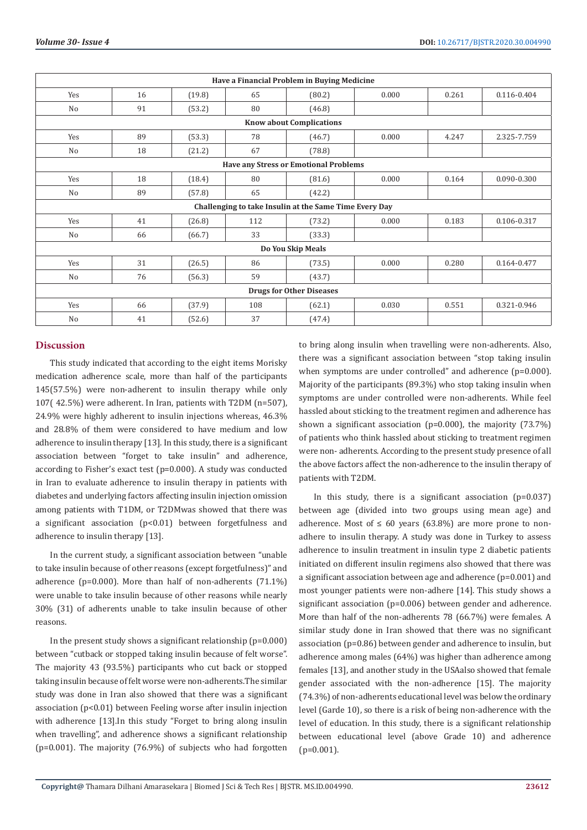| Have a Financial Problem in Buying Medicine |                                              |        |     |                                                        |       |       |             |  |  |  |
|---------------------------------------------|----------------------------------------------|--------|-----|--------------------------------------------------------|-------|-------|-------------|--|--|--|
| Yes                                         | 16                                           | (19.8) | 65  | (80.2)                                                 | 0.000 | 0.261 | 0.116-0.404 |  |  |  |
| No                                          | 91                                           | (53.2) | 80  | (46.8)                                                 |       |       |             |  |  |  |
|                                             | <b>Know about Complications</b>              |        |     |                                                        |       |       |             |  |  |  |
| Yes                                         | 89                                           | (53.3) | 78  | (46.7)                                                 | 0.000 | 4.247 | 2.325-7.759 |  |  |  |
| No                                          | 18                                           | (21.2) | 67  | (78.8)                                                 |       |       |             |  |  |  |
|                                             | <b>Have any Stress or Emotional Problems</b> |        |     |                                                        |       |       |             |  |  |  |
| Yes                                         | 18                                           | (18.4) | 80  | (81.6)                                                 | 0.000 | 0.164 | 0.090-0.300 |  |  |  |
| No                                          | 89                                           | (57.8) | 65  | (42.2)                                                 |       |       |             |  |  |  |
|                                             |                                              |        |     | Challenging to take Insulin at the Same Time Every Day |       |       |             |  |  |  |
| Yes                                         | 41                                           | (26.8) | 112 | (73.2)                                                 | 0.000 | 0.183 | 0.106-0.317 |  |  |  |
| No                                          | 66                                           | (66.7) | 33  | (33.3)                                                 |       |       |             |  |  |  |
| Do You Skip Meals                           |                                              |        |     |                                                        |       |       |             |  |  |  |
| Yes                                         | 31                                           | (26.5) | 86  | (73.5)                                                 | 0.000 | 0.280 | 0.164-0.477 |  |  |  |
| No                                          | 76                                           | (56.3) | 59  | (43.7)                                                 |       |       |             |  |  |  |
| <b>Drugs for Other Diseases</b>             |                                              |        |     |                                                        |       |       |             |  |  |  |
| Yes                                         | 66                                           | (37.9) | 108 | (62.1)                                                 | 0.030 | 0.551 | 0.321-0.946 |  |  |  |
| N <sub>o</sub>                              | 41                                           | (52.6) | 37  | (47.4)                                                 |       |       |             |  |  |  |

# **Discussion**

This study indicated that according to the eight items Morisky medication adherence scale, more than half of the participants 145(57.5%) were non-adherent to insulin therapy while only 107( 42.5%) were adherent. In Iran, patients with T2DM (n=507), 24.9% were highly adherent to insulin injections whereas, 46.3% and 28.8% of them were considered to have medium and low adherence to insulin therapy [13]. In this study, there is a significant association between "forget to take insulin" and adherence, according to Fisher's exact test (p=0.000). A study was conducted in Iran to evaluate adherence to insulin therapy in patients with diabetes and underlying factors affecting insulin injection omission among patients with T1DM, or T2DMwas showed that there was a significant association (p<0.01) between forgetfulness and adherence to insulin therapy [13].

In the current study, a significant association between "unable to take insulin because of other reasons (except forgetfulness)" and adherence (p=0.000). More than half of non-adherents (71.1%) were unable to take insulin because of other reasons while nearly 30% (31) of adherents unable to take insulin because of other reasons.

In the present study shows a significant relationship  $(p=0.000)$ between "cutback or stopped taking insulin because of felt worse". The majority 43 (93.5%) participants who cut back or stopped taking insulin because of felt worse were non-adherents.The similar study was done in Iran also showed that there was a significant association (p<0.01) between Feeling worse after insulin injection with adherence [13].In this study "Forget to bring along insulin when travelling", and adherence shows a significant relationship (p=0.001). The majority (76.9%) of subjects who had forgotten

to bring along insulin when travelling were non-adherents. Also, there was a significant association between "stop taking insulin when symptoms are under controlled" and adherence (p=0.000). Majority of the participants (89.3%) who stop taking insulin when symptoms are under controlled were non-adherents. While feel hassled about sticking to the treatment regimen and adherence has shown a significant association (p=0.000), the majority (73.7%) of patients who think hassled about sticking to treatment regimen were non- adherents. According to the present study presence of all the above factors affect the non-adherence to the insulin therapy of patients with T2DM.

In this study, there is a significant association  $(p=0.037)$ between age (divided into two groups using mean age) and adherence. Most of  $\leq 60$  years (63.8%) are more prone to nonadhere to insulin therapy. A study was done in Turkey to assess adherence to insulin treatment in insulin type 2 diabetic patients initiated on different insulin regimens also showed that there was a significant association between age and adherence (p=0.001) and most younger patients were non-adhere [14]. This study shows a significant association (p=0.006) between gender and adherence. More than half of the non-adherents 78 (66.7%) were females. A similar study done in Iran showed that there was no significant association (p=0.86) between gender and adherence to insulin, but adherence among males (64%) was higher than adherence among females [13], and another study in the USAalso showed that female gender associated with the non-adherence [15]. The majority (74.3%) of non-adherents educational level was below the ordinary level (Garde 10), so there is a risk of being non-adherence with the level of education. In this study, there is a significant relationship between educational level (above Grade 10) and adherence  $(p=0.001)$ .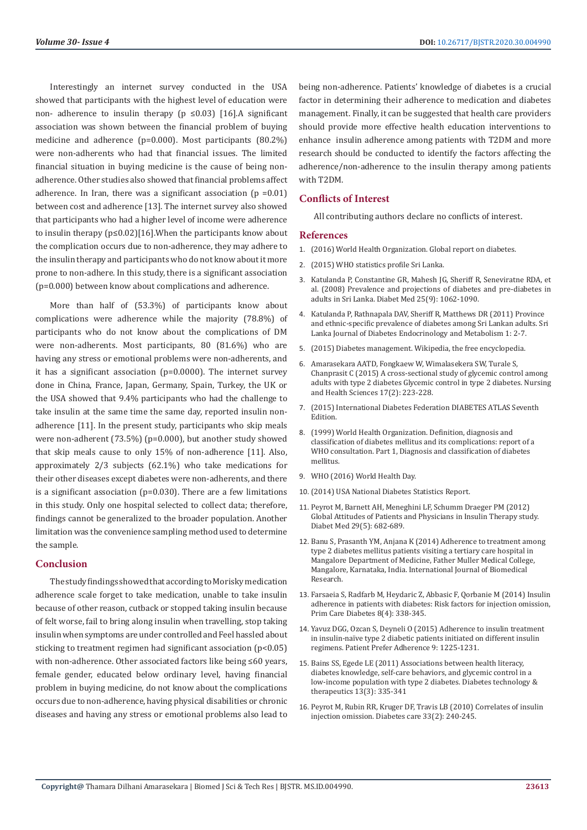Interestingly an internet survey conducted in the USA showed that participants with the highest level of education were non- adherence to insulin therapy (p  $\leq 0.03$ ) [16]. A significant association was shown between the financial problem of buying medicine and adherence (p=0.000). Most participants (80.2%) were non-adherents who had that financial issues. The limited financial situation in buying medicine is the cause of being nonadherence. Other studies also showed that financial problems affect adherence. In Iran, there was a significant association  $(p = 0.01)$ between cost and adherence [13]. The internet survey also showed that participants who had a higher level of income were adherence to insulin therapy (p≤0.02)[16].When the participants know about the complication occurs due to non-adherence, they may adhere to the insulin therapy and participants who do not know about it more prone to non-adhere. In this study, there is a significant association (p=0.000) between know about complications and adherence.

More than half of (53.3%) of participants know about complications were adherence while the majority (78.8%) of participants who do not know about the complications of DM were non-adherents. Most participants, 80 (81.6%) who are having any stress or emotional problems were non-adherents, and it has a significant association (p=0.0000). The internet survey done in China, France, Japan, Germany, Spain, Turkey, the UK or the USA showed that 9.4% participants who had the challenge to take insulin at the same time the same day, reported insulin nonadherence [11]. In the present study, participants who skip meals were non-adherent (73.5%) (p=0.000), but another study showed that skip meals cause to only 15% of non-adherence [11]. Also, approximately 2/3 subjects (62.1%) who take medications for their other diseases except diabetes were non-adherents, and there is a significant association (p=0.030). There are a few limitations in this study. Only one hospital selected to collect data; therefore, findings cannot be generalized to the broader population. Another limitation was the convenience sampling method used to determine the sample.

#### **Conclusion**

The study findings showed that according to Morisky medication adherence scale forget to take medication, unable to take insulin because of other reason, cutback or stopped taking insulin because of felt worse, fail to bring along insulin when travelling, stop taking insulin when symptoms are under controlled and Feel hassled about sticking to treatment regimen had significant association (p<0.05) with non-adherence. Other associated factors like being ≤60 years, female gender, educated below ordinary level, having financial problem in buying medicine, do not know about the complications occurs due to non-adherence, having physical disabilities or chronic diseases and having any stress or emotional problems also lead to

being non-adherence. Patients' knowledge of diabetes is a crucial factor in determining their adherence to medication and diabetes management. Finally, it can be suggested that health care providers should provide more effective health education interventions to enhance insulin adherence among patients with T2DM and more research should be conducted to identify the factors affecting the adherence/non-adherence to the insulin therapy among patients with T2DM.

## **Conflicts of Interest**

All contributing authors declare no conflicts of interest.

#### **References**

- 1. (2016) World Health Organization. Global report on diabetes.
- 2. [\(2015\) WHO statistics profile Sri Lanka.](https://covid19.who.int/?gclid=CjwKCAjwwab7BRBAEiwAapqpTFSOd6f-b3SHdl7WcGGliIB_5JxTUbh-RpXl1sAJaVt6HvEFoEqEeBoCt0AQAvD_BwE)
- 3. [Katulanda P, Constantine GR, Mahesh JG, Sheriff R, Seneviratne RDA, et](https://pubmed.ncbi.nlm.nih.gov/19183311/) [al. \(2008\) Prevalence and projections of diabetes and pre-diabetes in](https://pubmed.ncbi.nlm.nih.gov/19183311/) [adults in Sri Lanka. Diabet Med 25\(9\): 1062-1090.](https://pubmed.ncbi.nlm.nih.gov/19183311/)
- 4. [Katulanda P, Rathnapala DAV, Sheriff R, Matthews DR \(2011\) Province](https://sjdem.sljol.info/articles/abstract/10.4038/sjdem.v1i1.4180/)  [and ethnic-specific prevalence of diabetes among Sri Lankan adults. Sri](https://sjdem.sljol.info/articles/abstract/10.4038/sjdem.v1i1.4180/)  [Lanka Journal of Diabetes Endocrinology and Metabolism 1: 2-7.](https://sjdem.sljol.info/articles/abstract/10.4038/sjdem.v1i1.4180/)
- 5. (2015) Diabetes management. Wikipedia, the free encyclopedia.
- 6. [Amarasekara AATD, Fongkaew W, Wimalasekera SW, Turale S,](https://onlinelibrary.wiley.com/doi/abs/10.1111/nhs.12179)  [Chanprasit C \(2015\) A cross-sectional study of glycemic control among](https://onlinelibrary.wiley.com/doi/abs/10.1111/nhs.12179)  [adults with type 2 diabetes Glycemic control in type 2 diabetes. Nursing](https://onlinelibrary.wiley.com/doi/abs/10.1111/nhs.12179) [and Health Sciences 17\(2\): 223-228.](https://onlinelibrary.wiley.com/doi/abs/10.1111/nhs.12179)
- 7. [\(2015\) International Diabetes Federation DIABETES ATLAS Seventh](https://www.ispad.org/?https://www.ispad.org/JoinISPAD&gclid=CjwKCAjwwab7BRBAEiwAapqpTE5DxGQYGxMcNdDFgDATfDWCOK5GPIUdt9oZoVt7RtT76ZV9HFdtlxoCEt8QAvD_BwE)  [Edition.](https://www.ispad.org/?https://www.ispad.org/JoinISPAD&gclid=CjwKCAjwwab7BRBAEiwAapqpTE5DxGQYGxMcNdDFgDATfDWCOK5GPIUdt9oZoVt7RtT76ZV9HFdtlxoCEt8QAvD_BwE)
- 8. [\(1999\) World Health Organization. Definition, diagnosis and](https://apps.who.int/iris/handle/10665/66040)  [classification of diabetes mellitus and its complications: report of a](https://apps.who.int/iris/handle/10665/66040)  [WHO consultation. Part 1, Diagnosis and classification of diabetes](https://apps.who.int/iris/handle/10665/66040)  [mellitus.](https://apps.who.int/iris/handle/10665/66040)
- 9. [WHO \(2016\) World Health Day.](https://www.who.int/emergencies/diseases/novel-coronavirus-2019?gclid=CjwKCAjwwab7BRBAEiwAapqpTCpjIG295LSlbAUrRvczZmQvWo0P6c2MXNHEcZ5yHkuw8FwaUptMShoC9akQAvD_BwE)
- 10. [\(2014\) USA National Diabetes Statistics Report.](https://www.cdc.gov/diabetes/data/statistics-report/index.html)
- 11. [Peyrot M, Barnett AH, Meneghini LF, Schumm Draeger PM \(2012\)](https://pubmed.ncbi.nlm.nih.gov/22313123/)  [Global Attitudes of Patients and Physicians in Insulin Therapy study.](https://pubmed.ncbi.nlm.nih.gov/22313123/)  [Diabet Med 29\(5\): 682-689.](https://pubmed.ncbi.nlm.nih.gov/22313123/)
- 12. [Banu S, Prasanth YM, Anjana K \(2014\) Adherence to treatment among](https://ssjournals.com/index.php/ijbr/article/view/988)  [type 2 diabetes mellitus patients visiting a tertiary care hospital in](https://ssjournals.com/index.php/ijbr/article/view/988)  [Mangalore Department of Medicine, Father Muller Medical College,](https://ssjournals.com/index.php/ijbr/article/view/988)  [Mangalore, Karnataka, India. International Journal of Biomedical](https://ssjournals.com/index.php/ijbr/article/view/988)  [Research.](https://ssjournals.com/index.php/ijbr/article/view/988)
- 13. [Farsaeia S, Radfarb M, Heydaric Z, Abbasic F, Qorbanie M \(2014\) Insulin](https://pubmed.ncbi.nlm.nih.gov/24721139/)  [adherence in patients with diabetes: Risk factors for injection omission,](https://pubmed.ncbi.nlm.nih.gov/24721139/)  [Prim Care Diabetes 8\(4\): 338-345.](https://pubmed.ncbi.nlm.nih.gov/24721139/)
- 14. [Yavuz DGG, Ozcan S, Deyneli O \(2015\) Adherence to insulin treatment](https://www.ncbi.nlm.nih.gov/pmc/articles/PMC4556254/)  [in insulin-naïve type 2 diabetic patients initiated on different insulin](https://www.ncbi.nlm.nih.gov/pmc/articles/PMC4556254/)  [regimens. Patient Prefer Adherence 9: 1225-1231.](https://www.ncbi.nlm.nih.gov/pmc/articles/PMC4556254/)
- 15. [Bains SS, Egede LE \(2011\) Associations between health literacy,](https://pubmed.ncbi.nlm.nih.gov/21299402/)  [diabetes knowledge, self-care behaviors, and glycemic control in a](https://pubmed.ncbi.nlm.nih.gov/21299402/)  [low-income population with type 2 diabetes. Diabetes technology &](https://pubmed.ncbi.nlm.nih.gov/21299402/)  [therapeutics 13\(3\): 335-341](https://pubmed.ncbi.nlm.nih.gov/21299402/)
- 16. [Peyrot M, Rubin RR, Kruger DF, Travis LB \(2010\) Correlates of insulin](https://care.diabetesjournals.org/content/33/2/240)  [injection omission. Diabetes care 33\(2\): 240-245.](https://care.diabetesjournals.org/content/33/2/240)